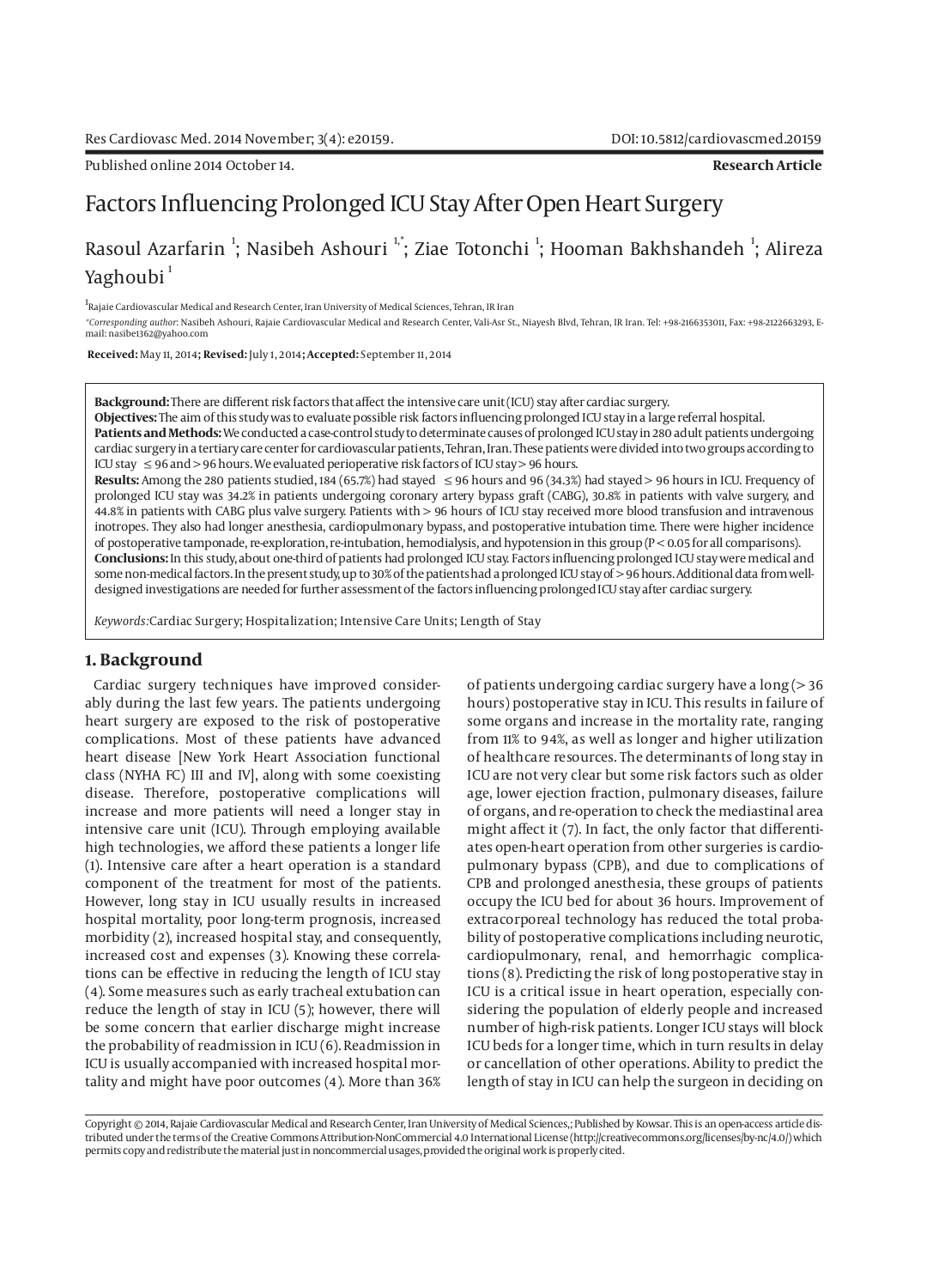Published online 2014 October 14. **Research Article**

# Factors Influencing Prolonged ICU Stay After Open Heart Surgery

## Rasoul Azarfarin <sup>1</sup>; Nasibeh Ashouri <sup>1,</sup>\*; Ziae Totonchi <sup>1</sup>; Hooman Bakhshandeh <sup>1</sup>; Alireza Yaghoubi<sup>1</sup>

<sup>1</sup>Rajaie Cardiovascular Medical and Research Center, Iran University of Medical Sciences, Tehran, IR Iran

*\*Corresponding author*: Nasibeh Ashouri, Rajaie Cardiovascular Medical and Research Center, Vali-Asr St., Niayesh Blvd, Tehran, IR Iran. Tel: +98-2166353011, Fax: +98-2122663293, Email: nasibe1362@yahoo.com

 **Received:** May 11, 2014**; Revised:** July 1, 2014**; Accepted:** September 11, 2014

**Background:** There are different risk factors that affect the intensive care unit (ICU) stay after cardiac surgery.

**Objectives:** The aim of this study was to evaluate possible risk factors influencing prolonged ICU stay in a large referral hospital. **Patients and Methods:** We conducted a case-control study to determinate causes of prolonged ICU stay in 280 adult patients undergoing cardiac surgery in a tertiary care center for cardiovascular patients, Tehran, Iran. These patients were divided into two groups according to ICU stay  $\leq$  96 and > 96 hours. We evaluated perioperative risk factors of ICU stay > 96 hours.

**Results:** Among the 280 patients studied, 184 (65.7%) had stayed ≤ 96 hours and 96 (34.3%) had stayed > 96 hours in ICU. Frequency of prolonged ICU stay was 34.2% in patients undergoing coronary artery bypass graft (CABG), 30.8% in patients with valve surgery, and 44.8% in patients with CABG plus valve surgery. Patients with > 96 hours of ICU stay received more blood transfusion and intravenous inotropes. They also had longer anesthesia, cardiopulmonary bypass, and postoperative intubation time. There were higher incidence of postoperative tamponade, re-exploration, re-intubation, hemodialysis, and hypotension in this group (P < 0.05 for all comparisons). **Conclusions:** In this study, about one-third of patients had prolonged ICU stay. Factors influencing prolonged ICU stay were medical and some non-medical factors. In the present study, up to 30% of the patients had a prolonged ICU stay of > 96 hours. Additional data from welldesigned investigations are needed for further assessment of the factors influencing prolonged ICU stay after cardiac surgery.

*Keywords:*Cardiac Surgery; Hospitalization; Intensive Care Units; Length of Stay

#### **1. Background**

Cardiac surgery techniques have improved considerably during the last few years. The patients undergoing heart surgery are exposed to the risk of postoperative complications. Most of these patients have advanced heart disease [New York Heart Association functional class (NYHA FC) III and IV], along with some coexisting disease. Therefore, postoperative complications will increase and more patients will need a longer stay in intensive care unit (ICU). Through employing available high technologies, we afford these patients a longer life (1). Intensive care after a heart operation is a standard component of the treatment for most of the patients. However, long stay in ICU usually results in increased hospital mortality, poor long-term prognosis, increased morbidity (2), increased hospital stay, and consequently, increased cost and expenses (3). Knowing these correlations can be effective in reducing the length of ICU stay (4). Some measures such as early tracheal extubation can reduce the length of stay in ICU (5); however, there will be some concern that earlier discharge might increase the probability of readmission in ICU (6). Readmission in ICU is usually accompanied with increased hospital mortality and might have poor outcomes (4). More than 36%

of patients undergoing cardiac surgery have a long (> 36 hours) postoperative stay in ICU. This results in failure of some organs and increase in the mortality rate, ranging from 11% to 94%, as well as longer and higher utilization of healthcare resources. The determinants of long stay in ICU are not very clear but some risk factors such as older age, lower ejection fraction, pulmonary diseases, failure of organs, and re-operation to check the mediastinal area might affect it (7). In fact, the only factor that differentiates open-heart operation from other surgeries is cardiopulmonary bypass (CPB), and due to complications of CPB and prolonged anesthesia, these groups of patients occupy the ICU bed for about 36 hours. Improvement of extracorporeal technology has reduced the total probability of postoperative complications including neurotic, cardiopulmonary, renal, and hemorrhagic complications (8). Predicting the risk of long postoperative stay in ICU is a critical issue in heart operation, especially considering the population of elderly people and increased number of high-risk patients. Longer ICU stays will block ICU beds for a longer time, which in turn results in delay or cancellation of other operations. Ability to predict the length of stay in ICU can help the surgeon in deciding on

Copyright © 2014, Rajaie Cardiovascular Medical and Research Center, Iran University of Medical Sciences,; Published by Kowsar. This is an open-access article distributed under the terms of the Creative Commons Attribution-NonCommercial 4.0 International License (http://creativecommons.org/licenses/by-nc/4.0/) which permits copy and redistribute the material just in noncommercial usages, provided the original work is properly cited.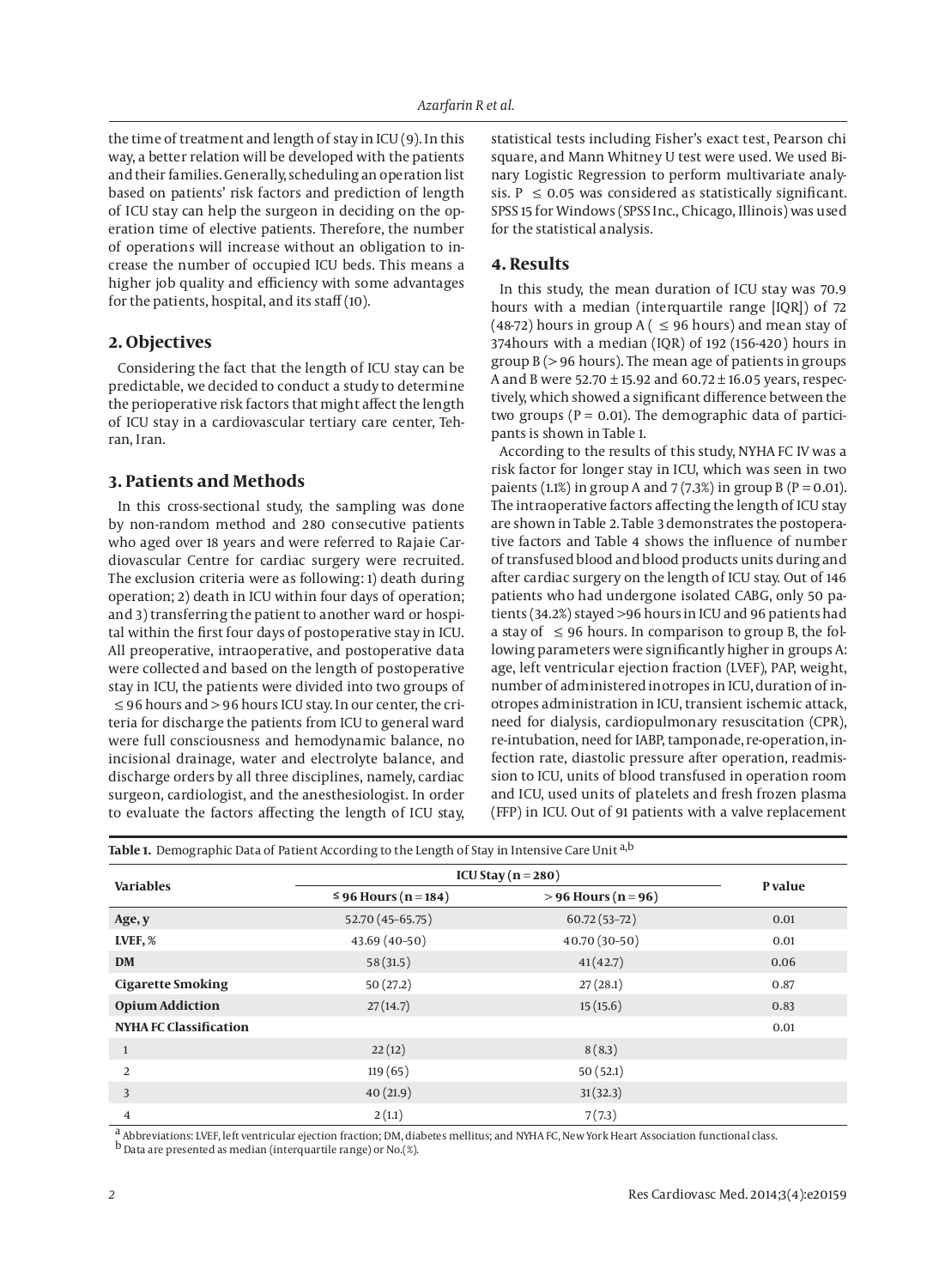the time of treatment and length of stay in ICU (9). In this way, a better relation will be developed with the patients and their families. Generally, scheduling an operation list based on patients' risk factors and prediction of length of ICU stay can help the surgeon in deciding on the operation time of elective patients. Therefore, the number of operations will increase without an obligation to increase the number of occupied ICU beds. This means a higher job quality and efficiency with some advantages for the patients, hospital, and its staff (10).

### **2. Objectives**

Considering the fact that the length of ICU stay can be predictable, we decided to conduct a study to determine the perioperative risk factors that might affect the length of ICU stay in a cardiovascular tertiary care center, Tehran, Iran.

## **3. Patients and Methods**

In this cross-sectional study, the sampling was done by non-random method and 280 consecutive patients who aged over 18 years and were referred to Rajaie Cardiovascular Centre for cardiac surgery were recruited. The exclusion criteria were as following: 1) death during operation; 2) death in ICU within four days of operation; and 3) transferring the patient to another ward or hospital within the first four days of postoperative stay in ICU. All preoperative, intraoperative, and postoperative data were collected and based on the length of postoperative stay in ICU, the patients were divided into two groups of ≤ 96 hours and > 96 hours ICU stay. In our center, the criteria for discharge the patients from ICU to general ward were full consciousness and hemodynamic balance, no incisional drainage, water and electrolyte balance, and discharge orders by all three disciplines, namely, cardiac surgeon, cardiologist, and the anesthesiologist. In order to evaluate the factors affecting the length of ICU stay, statistical tests including Fisher's exact test, Pearson chi square, and Mann Whitney U test were used. We used Binary Logistic Regression to perform multivariate analysis. P  $\leq$  0.05 was considered as statistically significant. SPSS 15 for Windows (SPSS Inc., Chicago, Illinois) was used for the statistical analysis.

#### **4. Results**

In this study, the mean duration of ICU stay was 70.9 hours with a median (interquartile range [IQR]) of 72 (48-72) hours in group A (  $\leq$  96 hours) and mean stay of 374hours with a median (IQR) of 192 (156-420) hours in group B (> 96 hours). The mean age of patients in groups A and B were 52.70  $\pm$  15.92 and 60.72  $\pm$  16.05 years, respectively, which showed a significant difference between the two groups ( $P = 0.01$ ). The demographic data of participants is shown in Table 1.

According to the results of this study, NYHA FC IV was a risk factor for longer stay in ICU, which was seen in two paients (1.1%) in group A and 7 (7.3%) in group B ( $P = 0.01$ ). The intraoperative factors affecting the length of ICU stay are shown in Table 2. Table 3 demonstrates the postoperative factors and Table 4 shows the influence of number of transfused blood and blood products units during and after cardiac surgery on the length of ICU stay. Out of 146 patients who had undergone isolated CABG, only 50 patients (34.2%) stayed >96 hours in ICU and 96 patients had a stay of  $\leq$  96 hours. In comparison to group B, the following parameters were significantly higher in groups A: age, left ventricular ejection fraction (LVEF), PAP, weight, number of administered inotropes in ICU, duration of inotropes administration in ICU, transient ischemic attack, need for dialysis, cardiopulmonary resuscitation (CPR), re-intubation, need for IABP, tamponade, re-operation, infection rate, diastolic pressure after operation, readmission to ICU, units of blood transfused in operation room and ICU, used units of platelets and fresh frozen plasma (FFP) in ICU. Out of 91 patients with a valve replacement

| <b>Table 1.</b> Demographic Data of Patient According to the Length of Stay in Intensive Care Unit <sup>a,b</sup> |                           |                       |         |
|-------------------------------------------------------------------------------------------------------------------|---------------------------|-----------------------|---------|
|                                                                                                                   | ICU Stay ( $n = 280$ )    |                       | P value |
| <b>Variables</b>                                                                                                  | $\leq$ 96 Hours (n = 184) | $> 96$ Hours (n = 96) |         |
| Age, y                                                                                                            | 52.70 (45-65.75)          | $60.72(53 - 72)$      | 0.01    |
| LVEF, %                                                                                                           | $43.69(40-50)$            | 40.70 (30-50)         | 0.01    |
| <b>DM</b>                                                                                                         | 58(31.5)                  | 41(42.7)              | 0.06    |
| <b>Cigarette Smoking</b>                                                                                          | 50(27.2)                  | 27(28.1)              | 0.87    |
| <b>Opium Addiction</b>                                                                                            | 27(14.7)                  | 15(15.6)              | 0.83    |
| <b>NYHA FC Classification</b>                                                                                     |                           |                       | 0.01    |
| $\mathbf{1}$                                                                                                      | 22(12)                    | 8(8.3)                |         |
| 2                                                                                                                 | 119(65)                   | 50(52.1)              |         |
| 3                                                                                                                 | 40(21.9)                  | 31(32.3)              |         |
| 4                                                                                                                 | 2(1.1)                    | 7(7.3)                |         |

a Abbreviations: LVEF, left ventricular ejection fraction; DM, diabetes mellitus; and NYHA FC, New York Heart Association functional class.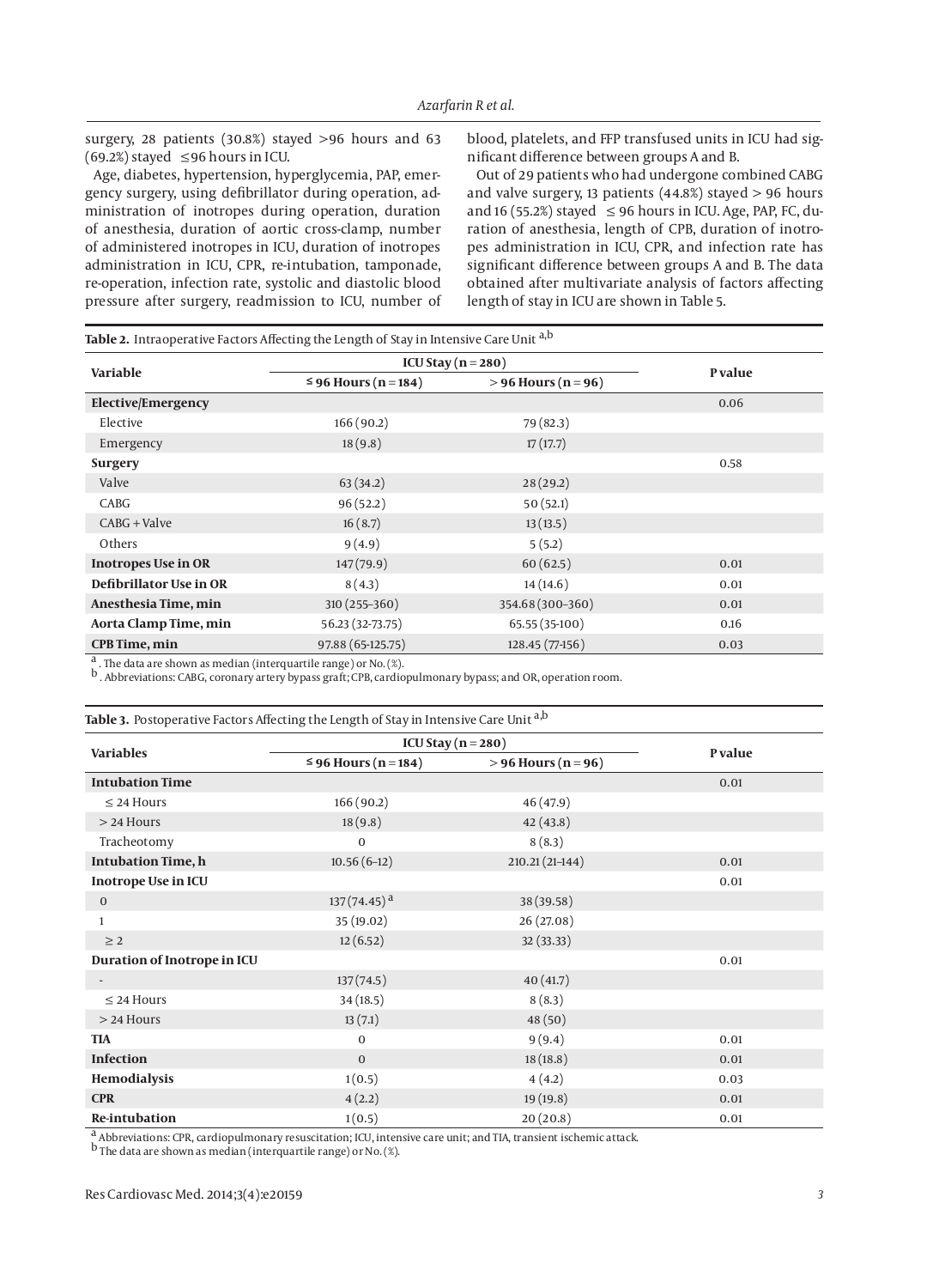surgery, 28 patients (30.8%) stayed >96 hours and 63 (69.2%) stayed  $\leq$ 96 hours in ICU.

Age, diabetes, hypertension, hyperglycemia, PAP, emergency surgery, using defibrillator during operation, administration of inotropes during operation, duration of anesthesia, duration of aortic cross-clamp, number of administered inotropes in ICU, duration of inotropes administration in ICU, CPR, re-intubation, tamponade, re-operation, infection rate, systolic and diastolic blood pressure after surgery, readmission to ICU, number of blood, platelets, and FFP transfused units in ICU had significant difference between groups A and B.

Out of 29 patients who had undergone combined CABG and valve surgery, 13 patients  $(44.8%)$  stayed  $> 96$  hours and 16 (55.2%) stayed  $\leq$  96 hours in ICU. Age, PAP, FC, duration of anesthesia, length of CPB, duration of inotropes administration in ICU, CPR, and infection rate has significant difference between groups A and B. The data obtained after multivariate analysis of factors affecting length of stay in ICU are shown in Table 5.

| Variable                   | ICU Stay ( $n = 280$ )    |                       |         |
|----------------------------|---------------------------|-----------------------|---------|
|                            | $\leq$ 96 Hours (n = 184) | $> 96$ Hours (n = 96) | P value |
| <b>Elective/Emergency</b>  |                           |                       | 0.06    |
| Elective                   | 166(90.2)                 | 79 (82.3)             |         |
| Emergency                  | 18(9.8)                   | 17(17.7)              |         |
| <b>Surgery</b>             |                           |                       | 0.58    |
| Valve                      | 63(34.2)                  | 28(29.2)              |         |
| CABG                       | 96(52.2)                  | 50(52.1)              |         |
| $CABG + Value$             | 16(8.7)                   | 13(13.5)              |         |
| Others                     | 9(4.9)                    | 5(5.2)                |         |
| <b>Inotropes Use in OR</b> | 147(79.9)                 | 60(62.5)              | 0.01    |
| Defibrillator Use in OR    | 8(4.3)                    | 14(14.6)              | 0.01    |
| Anesthesia Time, min       | $310(255-360)$            | 354.68 (300-360)      | 0.01    |
| Aorta Clamp Time, min      | 56.23 (32-73.75)          | 65.55 (35-100)        | 0.16    |
| <b>CPB Time, min</b>       | 97.88 (65-125.75)         | 128.45 (77-156)       | 0.03    |

b . Abbreviations: CABG, coronary artery bypass graft; CPB, cardiopulmonary bypass; and OR, operation room.

Table 3. Postoperative Factors Affecting the Length of Stay in Intensive Care Unit a,b

| <b>Variables</b>            | ICU Stay $(n = 280)$      |                       |         |
|-----------------------------|---------------------------|-----------------------|---------|
|                             | $\leq$ 96 Hours (n = 184) | $> 96$ Hours (n = 96) | P value |
| <b>Intubation Time</b>      |                           |                       | 0.01    |
| $\leq$ 24 Hours             | 166 (90.2)                | 46(47.9)              |         |
| $>$ 24 Hours                | 18(9.8)                   | 42(43.8)              |         |
| Tracheotomy                 | $\mathbf{0}$              | 8(8.3)                |         |
| <b>Intubation Time, h</b>   | $10.56(6-12)$             | $210.21(21-144)$      | 0.01    |
| <b>Inotrope Use in ICU</b>  |                           |                       | 0.01    |
| $\mathbf{0}$                | $137(74.45)^{a}$          | 38 (39.58)            |         |
| $\mathbf{1}$                | 35 (19.02)                | 26 (27.08)            |         |
| $\geq$ 2                    | 12(6.52)                  | 32 (33.33)            |         |
| Duration of Inotrope in ICU |                           |                       | 0.01    |
|                             | 137(74.5)                 | 40(41.7)              |         |
| $\leq$ 24 Hours             | 34(18.5)                  | 8(8.3)                |         |
| $>$ 24 Hours                | 13(7.1)                   | 48(50)                |         |
| <b>TIA</b>                  | $\mathbf{0}$              | 9(9.4)                | 0.01    |
| <b>Infection</b>            | $\overline{0}$            | 18(18.8)              | 0.01    |
| Hemodialysis                | 1(0.5)                    | 4(4.2)                | 0.03    |
| <b>CPR</b>                  | 4(2.2)                    | 19(19.8)              | 0.01    |
| <b>Re-intubation</b>        | 1(0.5)                    | 20(20.8)              | 0.01    |

a Abbreviations: CPR, cardiopulmonary resuscitation; ICU, intensive care unit; and TIA, transient ischemic attack.

b The data are shown as median (interquartile range) or No. (%).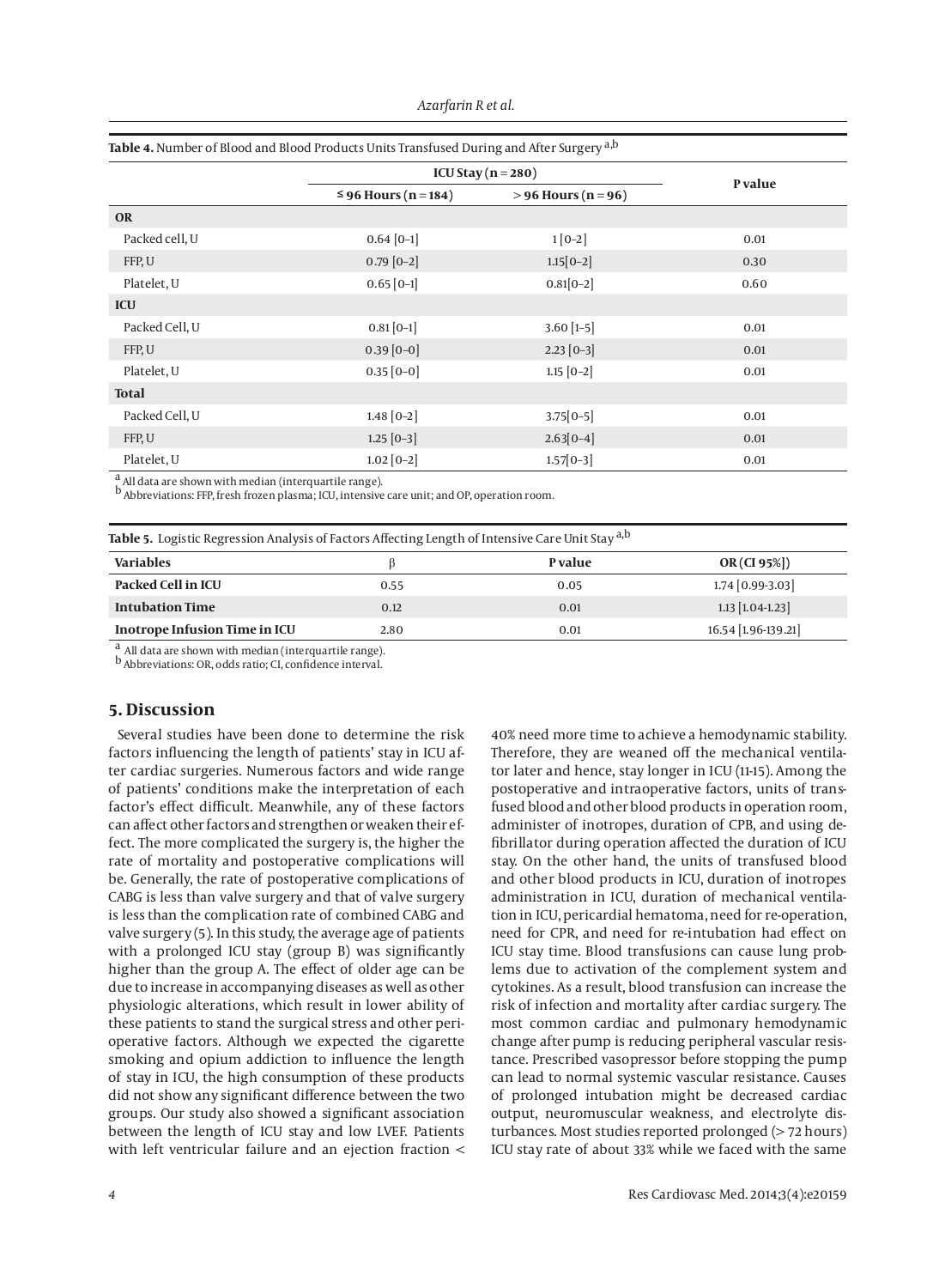|                |                           | ICU Stay ( $n = 280$ ) |         |
|----------------|---------------------------|------------------------|---------|
|                | $\leq$ 96 Hours (n = 184) | $> 96$ Hours (n = 96)  | P value |
| <b>OR</b>      |                           |                        |         |
| Packed cell, U | $0.64 [0-1]$              | $1[0-2]$               | 0.01    |
| FFP, U         | $0.79$ [0-2]              | $1.15[0-2]$            | 0.30    |
| Platelet, U    | $0.65$ [0-1]              | $0.81[0-2]$            | 0.60    |
| <b>ICU</b>     |                           |                        |         |
| Packed Cell, U | $0.81[0-1]$               | $3.60$ [1-5]           | 0.01    |
| FFP, U         | $0.39$ [0-0]              | $2.23$ [0-3]           | 0.01    |
| Platelet, U    | $0.35$ [0-0]              | $1.15$ [0-2]           | 0.01    |
| <b>Total</b>   |                           |                        |         |
| Packed Cell, U | $1.48$ [0-2]              | $3.75[0-5]$            | 0.01    |
| FFP, U         | $1.25 [0-3]$              | $2.63[0-4]$            | 0.01    |
| Platelet, U    | $1.02$ [0-2]              | $1.57[0-3]$            | 0.01    |

#### **Table 4.** Number of Blood and Blood Products Units Transfused During and After Surgery a,b

All data are shown with median (interquartile range).

b Abbreviations: FFP, fresh frozen plasma; ICU, intensive care unit; and OP, operation room.

**Table 5.** Logistic Regression Analysis of Factors Affecting Length of Intensive Care Unit Stay a,b

| <b>Variables</b>              |      | <b>P</b> value | OR(Cl 95%)          |
|-------------------------------|------|----------------|---------------------|
| Packed Cell in ICU            | 0.55 | 0.05           | $1.74$ [0.99-3.03]  |
| <b>Intubation Time</b>        | 0.12 | 0.01           | $1.13$ [1.04-1.23]  |
| Inotrope Infusion Time in ICU | 2.80 | 0.01           | 16.54 [1.96-139.21] |
|                               |      |                |                     |

a All data are shown with median (interquartile range).

b Abbreviations: OR, odds ratio; CI, confidence interval.

## **5. Discussion**

Several studies have been done to determine the risk factors influencing the length of patients' stay in ICU after cardiac surgeries. Numerous factors and wide range of patients' conditions make the interpretation of each factor's effect difficult. Meanwhile, any of these factors can affect other factors and strengthen or weaken their effect. The more complicated the surgery is, the higher the rate of mortality and postoperative complications will be. Generally, the rate of postoperative complications of CABG is less than valve surgery and that of valve surgery is less than the complication rate of combined CABG and valve surgery (5). In this study, the average age of patients with a prolonged ICU stay (group B) was significantly higher than the group A. The effect of older age can be due to increase in accompanying diseases as well as other physiologic alterations, which result in lower ability of these patients to stand the surgical stress and other perioperative factors. Although we expected the cigarette smoking and opium addiction to influence the length of stay in ICU, the high consumption of these products did not show any significant difference between the two groups. Our study also showed a significant association between the length of ICU stay and low LVEF. Patients with left ventricular failure and an ejection fraction < 40% need more time to achieve a hemodynamic stability. Therefore, they are weaned off the mechanical ventilator later and hence, stay longer in ICU (11-15). Among the postoperative and intraoperative factors, units of transfused blood and other blood products in operation room, administer of inotropes, duration of CPB, and using defibrillator during operation affected the duration of ICU stay. On the other hand, the units of transfused blood and other blood products in ICU, duration of inotropes administration in ICU, duration of mechanical ventilation in ICU, pericardial hematoma, need for re-operation, need for CPR, and need for re-intubation had effect on ICU stay time. Blood transfusions can cause lung problems due to activation of the complement system and cytokines. As a result, blood transfusion can increase the risk of infection and mortality after cardiac surgery. The most common cardiac and pulmonary hemodynamic change after pump is reducing peripheral vascular resistance. Prescribed vasopressor before stopping the pump can lead to normal systemic vascular resistance. Causes of prolonged intubation might be decreased cardiac output, neuromuscular weakness, and electrolyte disturbances. Most studies reported prolonged (> 72 hours) ICU stay rate of about 33% while we faced with the same